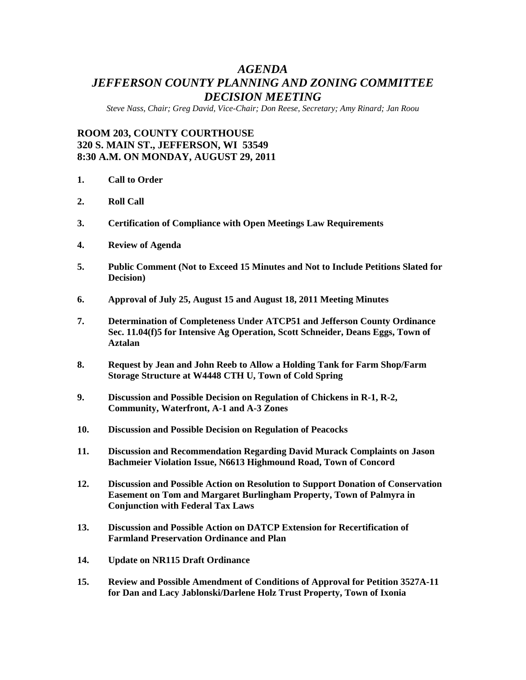# *AGENDA JEFFERSON COUNTY PLANNING AND ZONING COMMITTEE DECISION MEETING*

*Steve Nass, Chair; Greg David, Vice-Chair; Don Reese, Secretary; Amy Rinard; Jan Roou* 

## **ROOM 203, COUNTY COURTHOUSE 320 S. MAIN ST., JEFFERSON, WI 53549 8:30 A.M. ON MONDAY, AUGUST 29, 2011**

- **1. Call to Order**
- **2. Roll Call**
- **3. Certification of Compliance with Open Meetings Law Requirements**
- **4. Review of Agenda**
- **5. Public Comment (Not to Exceed 15 Minutes and Not to Include Petitions Slated for Decision)**
- **6. Approval of July 25, August 15 and August 18, 2011 Meeting Minutes**
- **7. Determination of Completeness Under ATCP51 and Jefferson County Ordinance Sec. 11.04(f)5 for Intensive Ag Operation, Scott Schneider, Deans Eggs, Town of Aztalan**
- **8. Request by Jean and John Reeb to Allow a Holding Tank for Farm Shop/Farm Storage Structure at W4448 CTH U, Town of Cold Spring**
- **9. Discussion and Possible Decision on Regulation of Chickens in R-1, R-2, Community, Waterfront, A-1 and A-3 Zones**
- **10. Discussion and Possible Decision on Regulation of Peacocks**
- **11. Discussion and Recommendation Regarding David Murack Complaints on Jason Bachmeier Violation Issue, N6613 Highmound Road, Town of Concord**
- **12. Discussion and Possible Action on Resolution to Support Donation of Conservation Easement on Tom and Margaret Burlingham Property, Town of Palmyra in Conjunction with Federal Tax Laws**
- **13. Discussion and Possible Action on DATCP Extension for Recertification of Farmland Preservation Ordinance and Plan**
- **14. Update on NR115 Draft Ordinance**
- **15. Review and Possible Amendment of Conditions of Approval for Petition 3527A-11 for Dan and Lacy Jablonski/Darlene Holz Trust Property, Town of Ixonia**